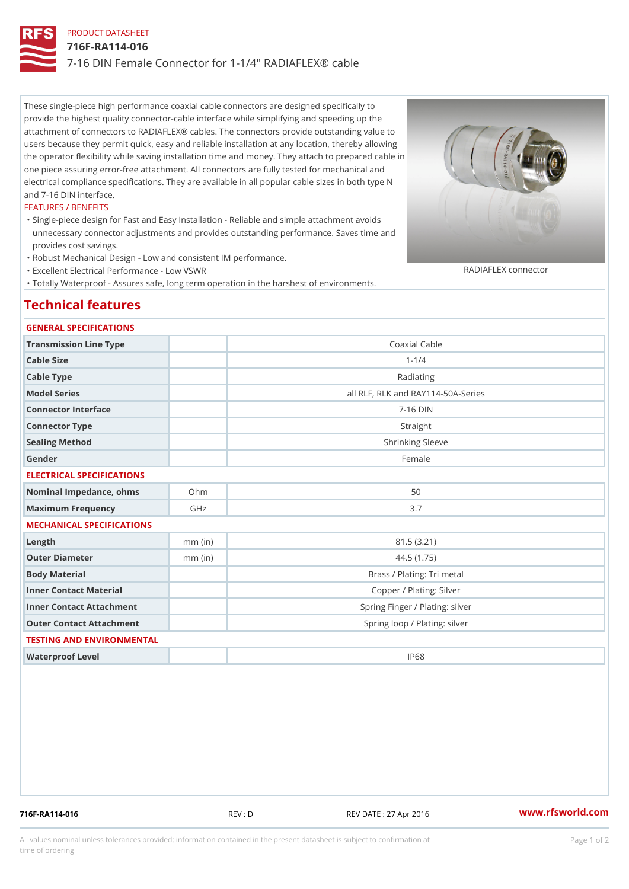# PRODUCT DATASHEET 716F-RA114-016 7-16 DIN Female Connector for 1-1/4" RADIAFLEX® cable

These single-piece high performance coaxial cable connectors are designed specifically to provide the highest quality connector-cable interface while simplifying and speeding up the attachment of connectors to RADIAFLEX® cables. The connectors provide outstanding value to users because they permit quick, easy and reliable installation at any location, thereby allowing the operator flexibility while saving installation time and money. They attach to prepared cable in one piece assuring error-free attachment. All connectors are fully tested for mechanical and electrical compliance specifications. They are available in all popular cable sizes in both type N and 7-16 DIN interface.

#### FEATURES / BENEFITS

- Single-piece design for Fast and Easy Installation Reliable and simple attachment avoids " unnecessary connector adjustments and provides outstanding performance. Saves time and provides cost savings.
- "Robust Mechanical Design Low and consistent IM performance.
- "Excellent Electrical Performance Low VSWR
- "Totally Waterproof Assures safe, long term operation in the harshest of environments.

## Technical features

### GENERAL SPECIFICATIONS

| Transmission Line Type       |           | Coaxial Cable                      |
|------------------------------|-----------|------------------------------------|
| Cable Size                   |           | $1 - 1/4$                          |
| Cable Type                   |           | Radiating                          |
| Model Series                 |           | all RLF, RLK and RAY114-50A-Series |
| Connector Interface          |           | $7 - 16$ DIN                       |
| Connector Type               |           | Straight                           |
| Sealing Method               |           | Shrinking Sleeve                   |
| Gender                       |           | Female                             |
| ELECTRICAL SPECIFICATIONS    |           |                                    |
| Nominal Impedance, ohins Ohm |           | 50                                 |
| Maximum Frequency            | GHz       | 3.7                                |
| MECHANICAL SPECIFICATIONS    |           |                                    |
| $L$ ength                    | $mm$ (in) | 81.5 (3.21)                        |
| Outer Diameter               | $mm$ (in) | 44.5(1.75)                         |
| Body Material                |           | Brass / Plating: Tri metal         |
| Inner Contact Material       |           | Copper / Plating: Silver           |
| Inner Contact Attachment     |           | Spring Finger / Plating: silver    |
| Outer Contact Attachment     |           | Spring loop / Plating: silver      |
| TESTING AND ENVIRONMENTAL    |           |                                    |
| Waterproof Level             |           | IP68                               |

716F-RA114-016 REV : D REV DATE : 27 Apr 2016 [www.](https://www.rfsworld.com)rfsworld.com

RADIAFLEX connector

All values nominal unless tolerances provided; information contained in the present datasheet is subject to Pcapgeign manation time of ordering